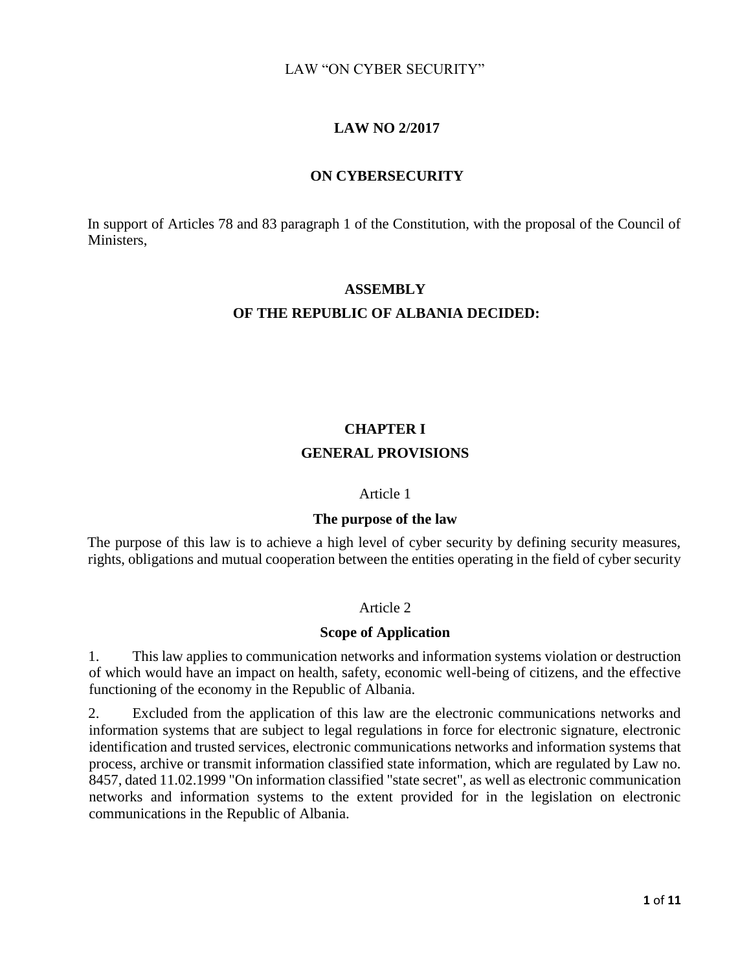# **LAW NO 2/2017**

### **ON CYBERSECURITY**

In support of Articles 78 and 83 paragraph 1 of the Constitution, with the proposal of the Council of Ministers,

# **ASSEMBLY**

# **OF THE REPUBLIC OF ALBANIA DECIDED:**

# **CHAPTER I GENERAL PROVISIONS**

### Article 1

### **The purpose of the law**

The purpose of this law is to achieve a high level of cyber security by defining security measures, rights, obligations and mutual cooperation between the entities operating in the field of cyber security

# Article 2

### **Scope of Application**

1. This law applies to communication networks and information systems violation or destruction of which would have an impact on health, safety, economic well-being of citizens, and the effective functioning of the economy in the Republic of Albania.

2. Excluded from the application of this law are the electronic communications networks and information systems that are subject to legal regulations in force for electronic signature, electronic identification and trusted services, electronic communications networks and information systems that process, archive or transmit information classified state information, which are regulated by Law no. 8457, dated 11.02.1999 "On information classified "state secret", as well as electronic communication networks and information systems to the extent provided for in the legislation on electronic communications in the Republic of Albania.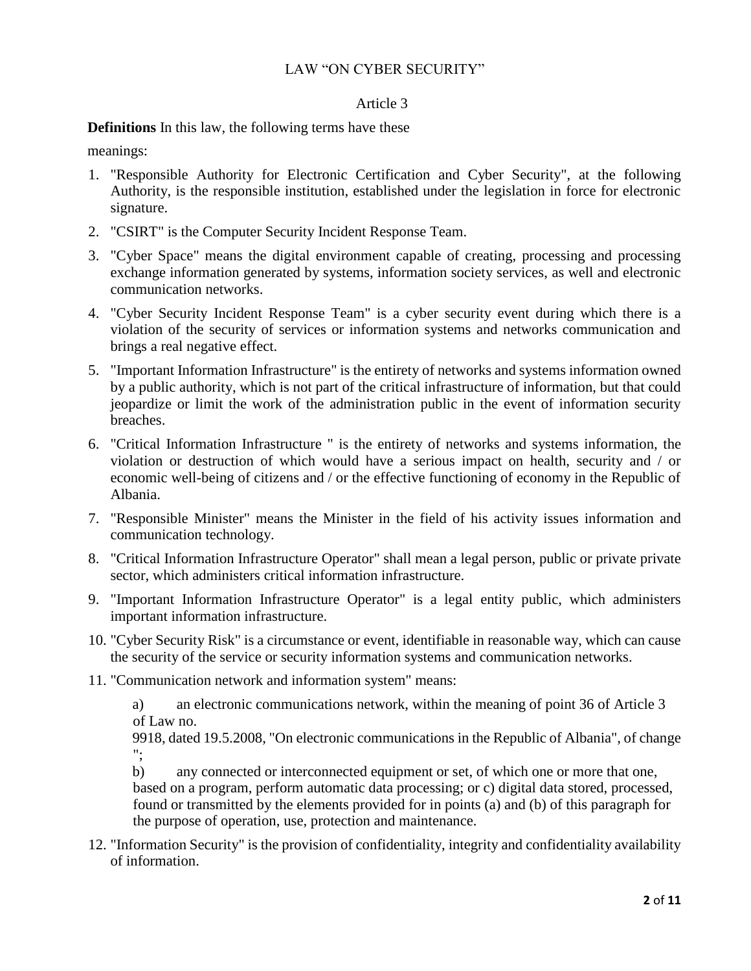### Article 3

### **Definitions** In this law, the following terms have these

meanings:

- 1. "Responsible Authority for Electronic Certification and Cyber Security", at the following Authority, is the responsible institution, established under the legislation in force for electronic signature.
- 2. "CSIRT" is the Computer Security Incident Response Team.
- 3. "Cyber Space" means the digital environment capable of creating, processing and processing exchange information generated by systems, information society services, as well and electronic communication networks.
- 4. "Cyber Security Incident Response Team" is a cyber security event during which there is a violation of the security of services or information systems and networks communication and brings a real negative effect.
- 5. "Important Information Infrastructure" is the entirety of networks and systems information owned by a public authority, which is not part of the critical infrastructure of information, but that could jeopardize or limit the work of the administration public in the event of information security breaches.
- 6. "Critical Information Infrastructure " is the entirety of networks and systems information, the violation or destruction of which would have a serious impact on health, security and / or economic well-being of citizens and / or the effective functioning of economy in the Republic of Albania.
- 7. "Responsible Minister" means the Minister in the field of his activity issues information and communication technology.
- 8. "Critical Information Infrastructure Operator" shall mean a legal person, public or private private sector, which administers critical information infrastructure.
- 9. "Important Information Infrastructure Operator" is a legal entity public, which administers important information infrastructure.
- 10. "Cyber Security Risk" is a circumstance or event, identifiable in reasonable way, which can cause the security of the service or security information systems and communication networks.
- 11. "Communication network and information system" means:

a) an electronic communications network, within the meaning of point 36 of Article 3 of Law no.

9918, dated 19.5.2008, "On electronic communications in the Republic of Albania", of change ";

b) any connected or interconnected equipment or set, of which one or more that one, based on a program, perform automatic data processing; or c) digital data stored, processed, found or transmitted by the elements provided for in points (a) and (b) of this paragraph for the purpose of operation, use, protection and maintenance.

12. "Information Security" is the provision of confidentiality, integrity and confidentiality availability of information.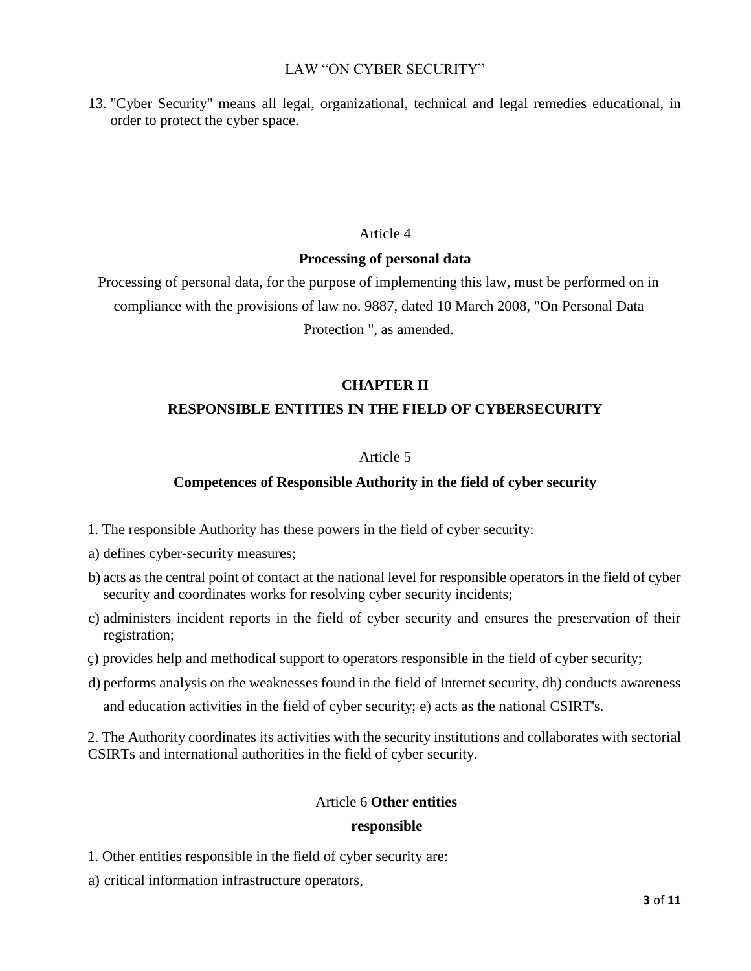13. "Cyber Security" means all legal, organizational, technical and legal remedies educational, in order to protect the cyber space.

### Article 4

### **Processing of personal data**

Processing of personal data, for the purpose of implementing this law, must be performed on in compliance with the provisions of law no. 9887, dated 10 March 2008, "On Personal Data Protection ", as amended.

# **CHAPTER II**

# **RESPONSIBLE ENTITIES IN THE FIELD OF CYBERSECURITY**

### Article 5

# **Competences of Responsible Authority in the field of cyber security**

- 1. The responsible Authority has these powers in the field of cyber security:
- a) defines cyber-security measures;
- b) acts as the central point of contact at the national level for responsible operators in the field of cyber security and coordinates works for resolving cyber security incidents;
- c) administers incident reports in the field of cyber security and ensures the preservation of their registration;
- ç) provides help and methodical support to operators responsible in the field of cyber security;
- d) performs analysis on the weaknesses found in the field of Internet security, dh) conducts awareness and education activities in the field of cyber security; e) acts as the national CSIRT's.

2. The Authority coordinates its activities with the security institutions and collaborates with sectorial CSIRTs and international authorities in the field of cyber security.

### Article 6 **Other entities**

### **responsible**

- 1. Other entities responsible in the field of cyber security are:
- a) critical information infrastructure operators,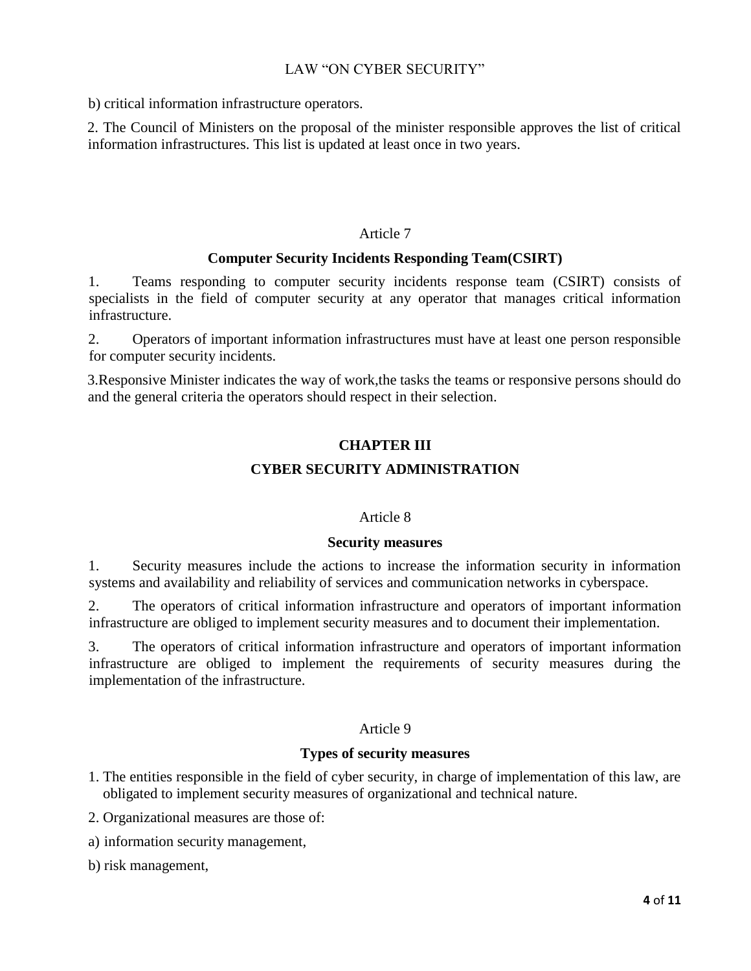b) critical information infrastructure operators.

2. The Council of Ministers on the proposal of the minister responsible approves the list of critical information infrastructures. This list is updated at least once in two years.

### Article 7

### **Computer Security Incidents Responding Team(CSIRT)**

1. Teams responding to computer security incidents response team (CSIRT) consists of specialists in the field of computer security at any operator that manages critical information infrastructure.

2. Operators of important information infrastructures must have at least one person responsible for computer security incidents.

3.Responsive Minister indicates the way of work,the tasks the teams or responsive persons should do and the general criteria the operators should respect in their selection.

# **CHAPTER III CYBER SECURITY ADMINISTRATION**

### Article 8

### **Security measures**

1. Security measures include the actions to increase the information security in information systems and availability and reliability of services and communication networks in cyberspace.

2. The operators of critical information infrastructure and operators of important information infrastructure are obliged to implement security measures and to document their implementation.

3. The operators of critical information infrastructure and operators of important information infrastructure are obliged to implement the requirements of security measures during the implementation of the infrastructure.

# Article 9

# **Types of security measures**

- 1. The entities responsible in the field of cyber security, in charge of implementation of this law, are obligated to implement security measures of organizational and technical nature.
- 2. Organizational measures are those of:
- a) information security management,
- b) risk management,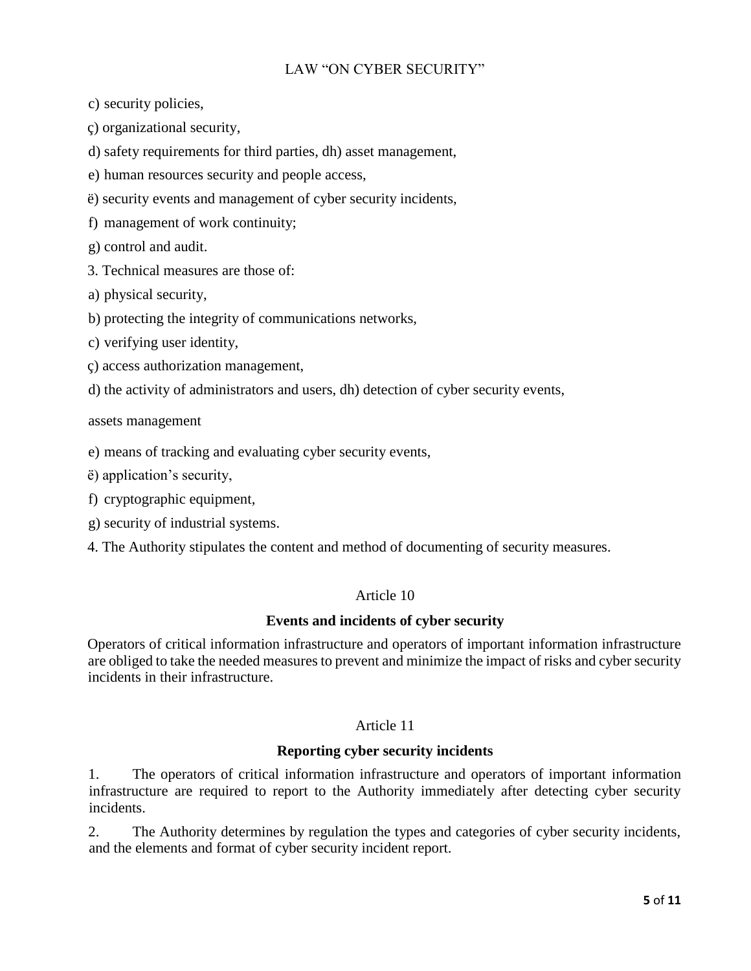c) security policies,

ç) organizational security,

d) safety requirements for third parties, dh) asset management,

e) human resources security and people access,

ë) security events and management of cyber security incidents,

f) management of work continuity;

g) control and audit.

3. Technical measures are those of:

a) physical security,

b) protecting the integrity of communications networks,

c) verifying user identity,

ç) access authorization management,

d) the activity of administrators and users, dh) detection of cyber security events,

assets management

e) means of tracking and evaluating cyber security events,

ë) application's security,

f) cryptographic equipment,

g) security of industrial systems.

4. The Authority stipulates the content and method of documenting of security measures.

# Article 10

# **Events and incidents of cyber security**

Operators of critical information infrastructure and operators of important information infrastructure are obliged to take the needed measures to prevent and minimize the impact of risks and cyber security incidents in their infrastructure.

# Article 11

# **Reporting cyber security incidents**

1. The operators of critical information infrastructure and operators of important information infrastructure are required to report to the Authority immediately after detecting cyber security incidents.

2. The Authority determines by regulation the types and categories of cyber security incidents, and the elements and format of cyber security incident report.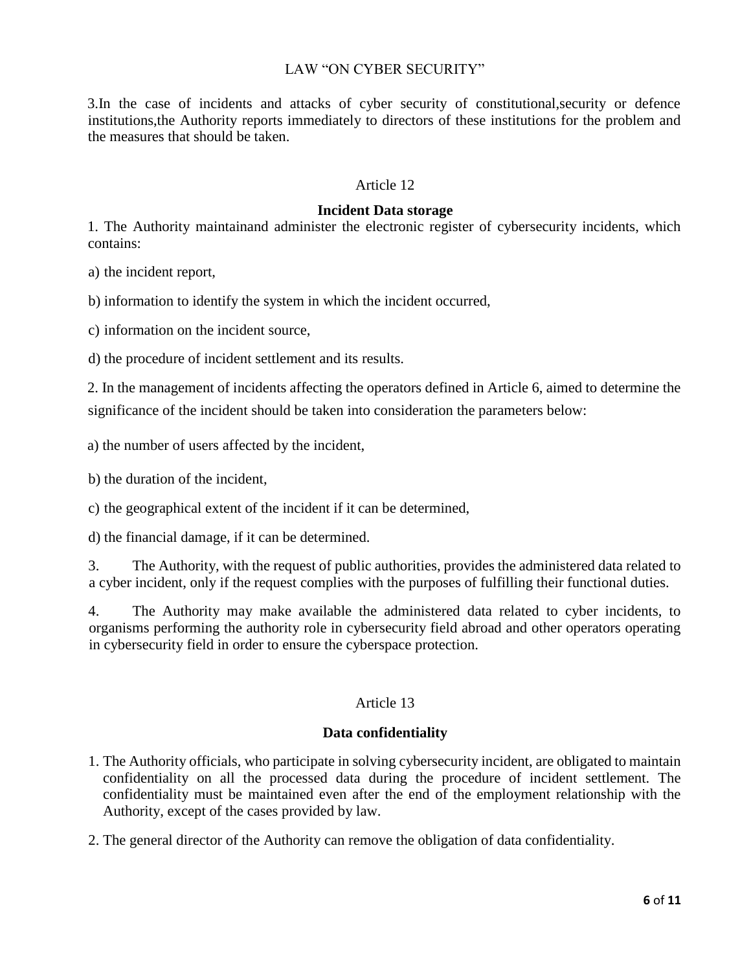3.In the case of incidents and attacks of cyber security of constitutional,security or defence institutions,the Authority reports immediately to directors of these institutions for the problem and the measures that should be taken.

### Article 12

### **Incident Data storage**

1. The Authority maintainand administer the electronic register of cybersecurity incidents, which contains:

a) the incident report,

b) information to identify the system in which the incident occurred,

c) information on the incident source,

d) the procedure of incident settlement and its results.

2. In the management of incidents affecting the operators defined in Article 6, aimed to determine the significance of the incident should be taken into consideration the parameters below:

a) the number of users affected by the incident,

b) the duration of the incident,

c) the geographical extent of the incident if it can be determined,

d) the financial damage, if it can be determined.

3. The Authority, with the request of public authorities, provides the administered data related to a cyber incident, only if the request complies with the purposes of fulfilling their functional duties.

4. The Authority may make available the administered data related to cyber incidents, to organisms performing the authority role in cybersecurity field abroad and other operators operating in cybersecurity field in order to ensure the cyberspace protection.

### Article 13

#### **Data confidentiality**

- 1. The Authority officials, who participate in solving cybersecurity incident, are obligated to maintain confidentiality on all the processed data during the procedure of incident settlement. The confidentiality must be maintained even after the end of the employment relationship with the Authority, except of the cases provided by law.
- 2. The general director of the Authority can remove the obligation of data confidentiality.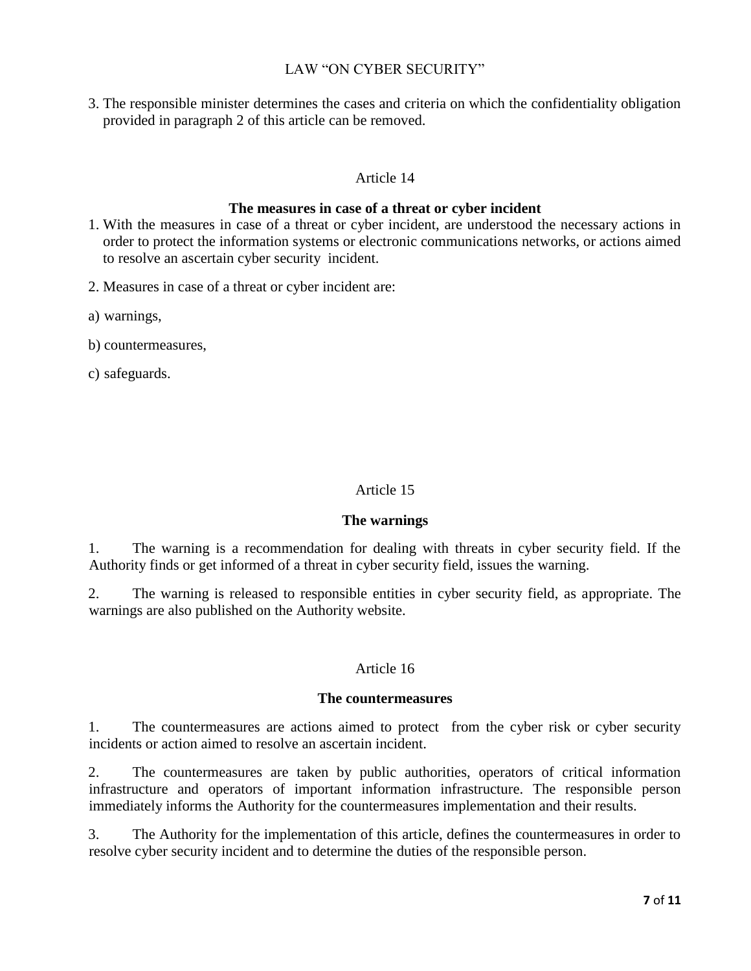3. The responsible minister determines the cases and criteria on which the confidentiality obligation provided in paragraph 2 of this article can be removed.

# Article 14

# **The measures in case of a threat or cyber incident**

- 1. With the measures in case of a threat or cyber incident, are understood the necessary actions in order to protect the information systems or electronic communications networks, or actions aimed to resolve an ascertain cyber security incident.
- 2. Measures in case of a threat or cyber incident are:
- a) warnings,
- b) countermeasures,
- c) safeguards.

# Article 15

# **The warnings**

1. The warning is a recommendation for dealing with threats in cyber security field. If the Authority finds or get informed of a threat in cyber security field, issues the warning.

2. The warning is released to responsible entities in cyber security field, as appropriate. The warnings are also published on the Authority website.

# Article 16

### **The countermeasures**

1. The countermeasures are actions aimed to protect from the cyber risk or cyber security incidents or action aimed to resolve an ascertain incident.

2. The countermeasures are taken by public authorities, operators of critical information infrastructure and operators of important information infrastructure. The responsible person immediately informs the Authority for the countermeasures implementation and their results.

3. The Authority for the implementation of this article, defines the countermeasures in order to resolve cyber security incident and to determine the duties of the responsible person.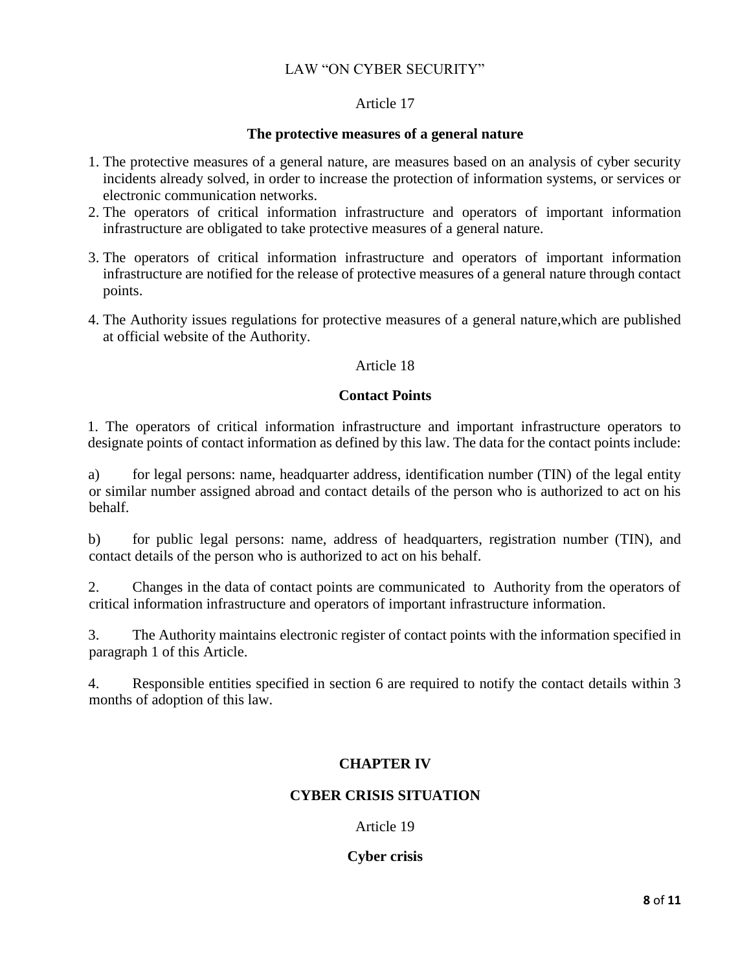### Article 17

### **The protective measures of a general nature**

- 1. The protective measures of a general nature, are measures based on an analysis of cyber security incidents already solved, in order to increase the protection of information systems, or services or electronic communication networks.
- 2. The operators of critical information infrastructure and operators of important information infrastructure are obligated to take protective measures of a general nature.
- 3. The operators of critical information infrastructure and operators of important information infrastructure are notified for the release of protective measures of a general nature through contact points.
- 4. The Authority issues regulations for protective measures of a general nature,which are published at official website of the Authority.

### Article 18

# **Contact Points**

1. The operators of critical information infrastructure and important infrastructure operators to designate points of contact information as defined by this law. The data for the contact points include:

a) for legal persons: name, headquarter address, identification number (TIN) of the legal entity or similar number assigned abroad and contact details of the person who is authorized to act on his behalf.

b) for public legal persons: name, address of headquarters, registration number (TIN), and contact details of the person who is authorized to act on his behalf.

2. Changes in the data of contact points are communicated to Authority from the operators of critical information infrastructure and operators of important infrastructure information.

3. The Authority maintains electronic register of contact points with the information specified in paragraph 1 of this Article.

4. Responsible entities specified in section 6 are required to notify the contact details within 3 months of adoption of this law.

# **CHAPTER IV**

# **CYBER CRISIS SITUATION**

Article 19

**Cyber crisis**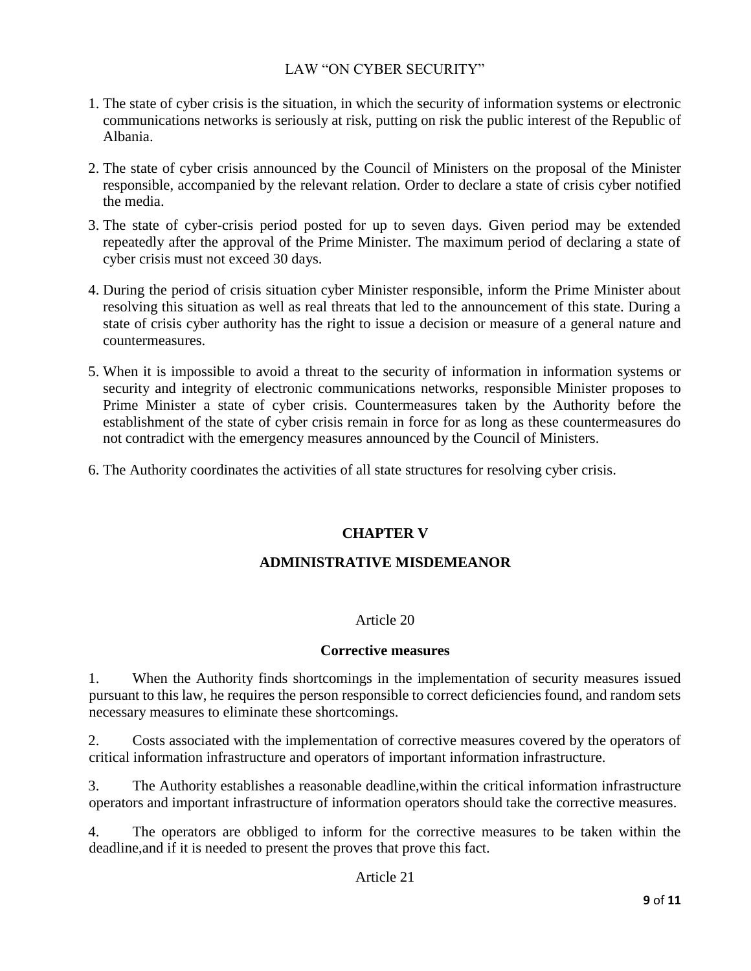- 1. The state of cyber crisis is the situation, in which the security of information systems or electronic communications networks is seriously at risk, putting on risk the public interest of the Republic of Albania.
- 2. The state of cyber crisis announced by the Council of Ministers on the proposal of the Minister responsible, accompanied by the relevant relation. Order to declare a state of crisis cyber notified the media.
- 3. The state of cyber-crisis period posted for up to seven days. Given period may be extended repeatedly after the approval of the Prime Minister. The maximum period of declaring a state of cyber crisis must not exceed 30 days.
- 4. During the period of crisis situation cyber Minister responsible, inform the Prime Minister about resolving this situation as well as real threats that led to the announcement of this state. During a state of crisis cyber authority has the right to issue a decision or measure of a general nature and countermeasures.
- 5. When it is impossible to avoid a threat to the security of information in information systems or security and integrity of electronic communications networks, responsible Minister proposes to Prime Minister a state of cyber crisis. Countermeasures taken by the Authority before the establishment of the state of cyber crisis remain in force for as long as these countermeasures do not contradict with the emergency measures announced by the Council of Ministers.
- 6. The Authority coordinates the activities of all state structures for resolving cyber crisis.

# **CHAPTER V**

# **ADMINISTRATIVE MISDEMEANOR**

# Article 20

# **Corrective measures**

1. When the Authority finds shortcomings in the implementation of security measures issued pursuant to this law, he requires the person responsible to correct deficiencies found, and random sets necessary measures to eliminate these shortcomings.

2. Costs associated with the implementation of corrective measures covered by the operators of critical information infrastructure and operators of important information infrastructure.

3. The Authority establishes a reasonable deadline,within the critical information infrastructure operators and important infrastructure of information operators should take the corrective measures.

4. The operators are obbliged to inform for the corrective measures to be taken within the deadline,and if it is needed to present the proves that prove this fact.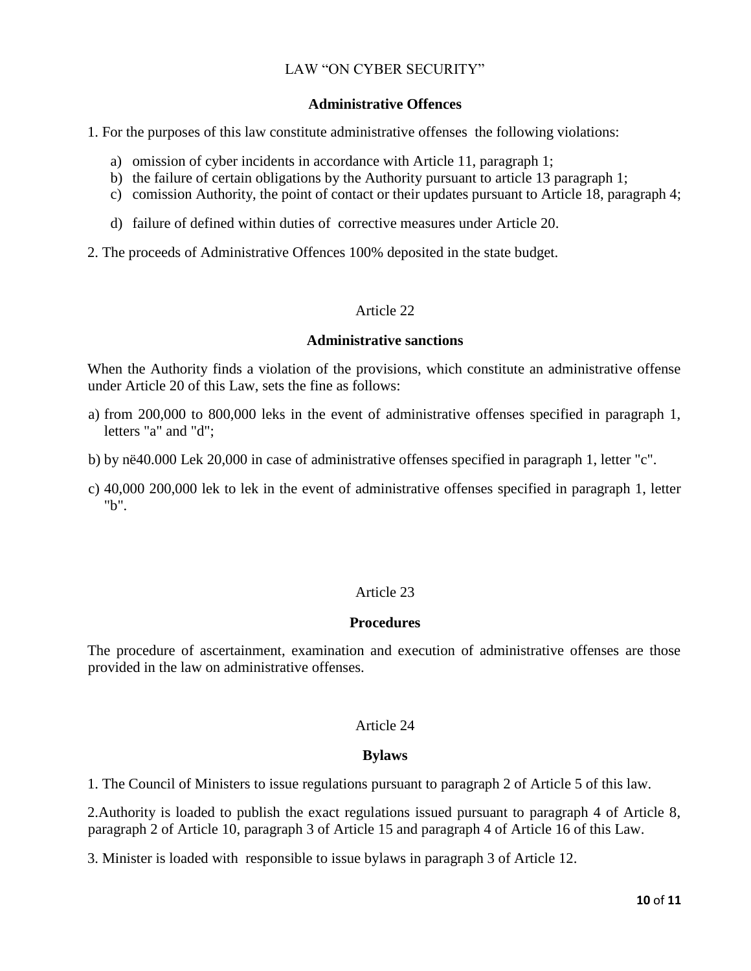### **Administrative Offences**

- 1. For the purposes of this law constitute administrative offenses the following violations:
	- a) omission of cyber incidents in accordance with Article 11, paragraph 1;
	- b) the failure of certain obligations by the Authority pursuant to article 13 paragraph 1;
	- c) comission Authority, the point of contact or their updates pursuant to Article 18, paragraph 4;
	- d) failure of defined within duties of corrective measures under Article 20.
- 2. The proceeds of Administrative Offences 100% deposited in the state budget.

### Article 22

### **Administrative sanctions**

When the Authority finds a violation of the provisions, which constitute an administrative offense under Article 20 of this Law, sets the fine as follows:

- a) from 200,000 to 800,000 leks in the event of administrative offenses specified in paragraph 1, letters "a" and "d";
- b) by në40.000 Lek 20,000 in case of administrative offenses specified in paragraph 1, letter "c".
- c) 40,000 200,000 lek to lek in the event of administrative offenses specified in paragraph 1, letter "b".

# Article 23

### **Procedures**

The procedure of ascertainment, examination and execution of administrative offenses are those provided in the law on administrative offenses.

### Article 24

### **Bylaws**

1. The Council of Ministers to issue regulations pursuant to paragraph 2 of Article 5 of this law.

2.Authority is loaded to publish the exact regulations issued pursuant to paragraph 4 of Article 8, paragraph 2 of Article 10, paragraph 3 of Article 15 and paragraph 4 of Article 16 of this Law.

3. Minister is loaded with responsible to issue bylaws in paragraph 3 of Article 12.